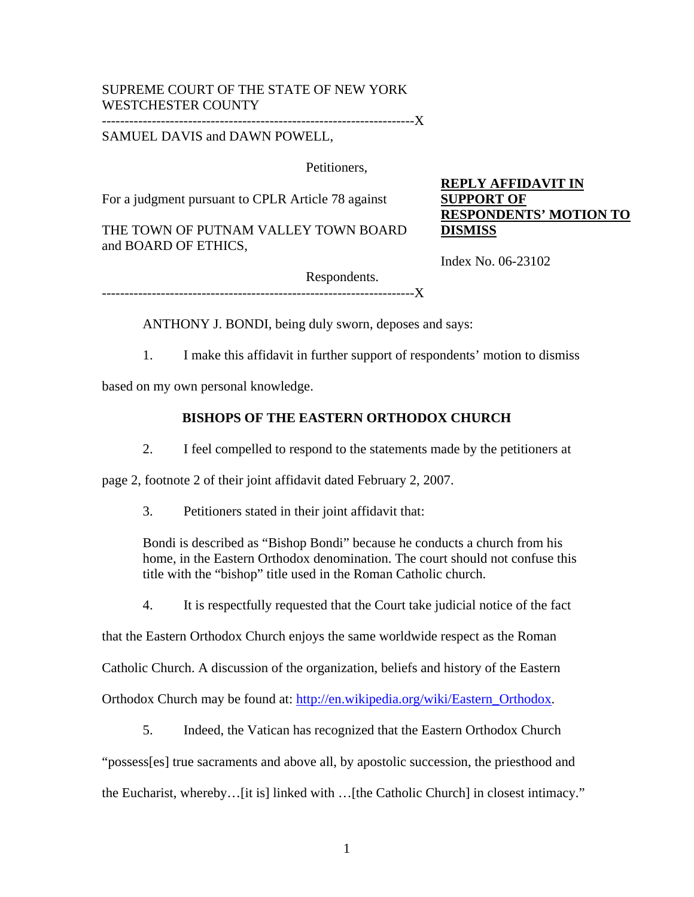## SUPREME COURT OF THE STATE OF NEW YORK WESTCHESTER COUNTY

---------------------------------------------------------------------X

## SAMUEL DAVIS and DAWN POWELL,

Petitioners,

For a judgment pursuant to CPLR Article 78 against

THE TOWN OF PUTNAM VALLEY TOWN BOARD and BOARD OF ETHICS,

**REPLY AFFIDAVIT IN SUPPORT OF RESPONDENTS' MOTION TO DISMISS**

Index No. 06-23102

Respondents. -----------X

ANTHONY J. BONDI, being duly sworn, deposes and says:

1. I make this affidavit in further support of respondents' motion to dismiss

based on my own personal knowledge.

## **BISHOPS OF THE EASTERN ORTHODOX CHURCH**

2. I feel compelled to respond to the statements made by the petitioners at

page 2, footnote 2 of their joint affidavit dated February 2, 2007.

3. Petitioners stated in their joint affidavit that:

Bondi is described as "Bishop Bondi" because he conducts a church from his home, in the Eastern Orthodox denomination. The court should not confuse this title with the "bishop" title used in the Roman Catholic church.

4. It is respectfully requested that the Court take judicial notice of the fact

that the Eastern Orthodox Church enjoys the same worldwide respect as the Roman

Catholic Church. A discussion of the organization, beliefs and history of the Eastern

Orthodox Church may be found at: http://en.wikipedia.org/wiki/Eastern\_Orthodox.

5. Indeed, the Vatican has recognized that the Eastern Orthodox Church

"possess[es] true sacraments and above all, by apostolic succession, the priesthood and

the Eucharist, whereby…[it is] linked with …[the Catholic Church] in closest intimacy."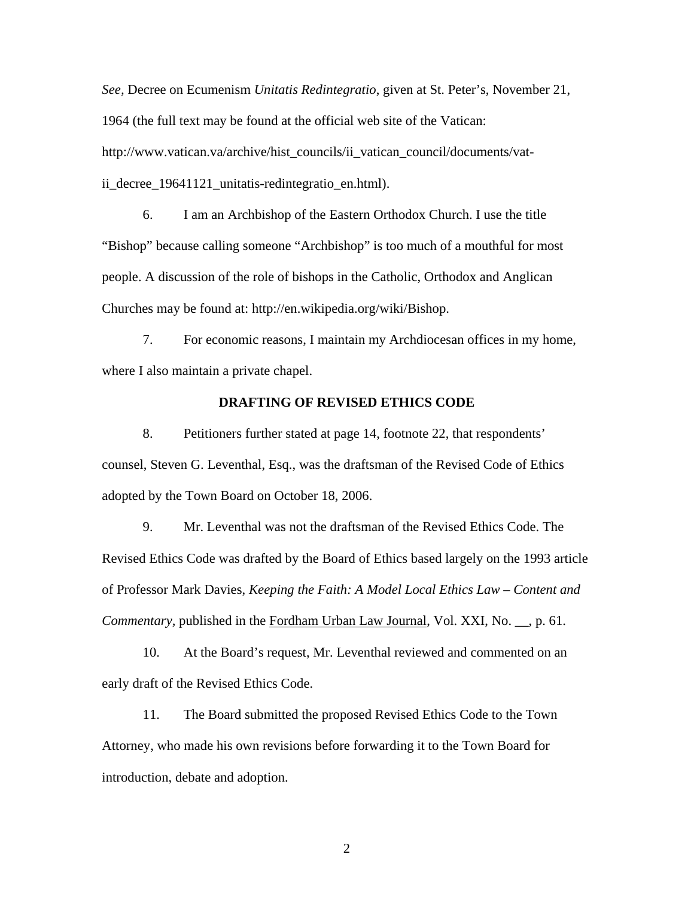*See,* Decree on Ecumenism *Unitatis Redintegratio*, given at St. Peter's, November 21, 1964 (the full text may be found at the official web site of the Vatican: http://www.vatican.va/archive/hist\_councils/ii\_vatican\_council/documents/vatii\_decree\_19641121\_unitatis-redintegratio\_en.html).

 6. I am an Archbishop of the Eastern Orthodox Church. I use the title "Bishop" because calling someone "Archbishop" is too much of a mouthful for most people. A discussion of the role of bishops in the Catholic, Orthodox and Anglican Churches may be found at: http://en.wikipedia.org/wiki/Bishop.

 7. For economic reasons, I maintain my Archdiocesan offices in my home, where I also maintain a private chapel.

## **DRAFTING OF REVISED ETHICS CODE**

 8. Petitioners further stated at page 14, footnote 22, that respondents' counsel, Steven G. Leventhal, Esq., was the draftsman of the Revised Code of Ethics adopted by the Town Board on October 18, 2006.

 9. Mr. Leventhal was not the draftsman of the Revised Ethics Code. The Revised Ethics Code was drafted by the Board of Ethics based largely on the 1993 article of Professor Mark Davies, *Keeping the Faith: A Model Local Ethics Law – Content and Commentary,* published in the Fordham Urban Law Journal, Vol. XXI, No. \_\_, p. 61.

10. At the Board's request, Mr. Leventhal reviewed and commented on an early draft of the Revised Ethics Code.

 11. The Board submitted the proposed Revised Ethics Code to the Town Attorney, who made his own revisions before forwarding it to the Town Board for introduction, debate and adoption.

2